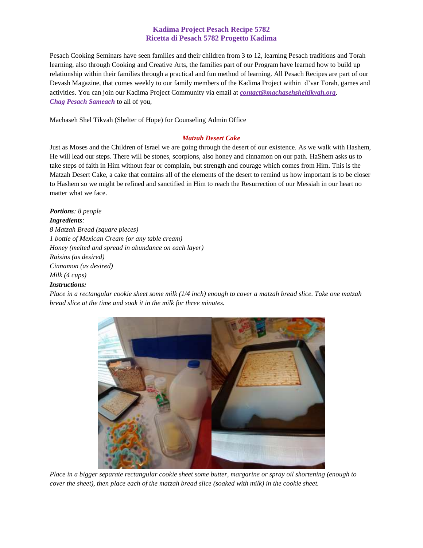## **Kadima Project Pesach Recipe 5782 Ricetta di Pesach 5782 Progetto Kadima**

Pesach Cooking Seminars have seen families and their children from 3 to 12, learning Pesach traditions and Torah learning, also through Cooking and Creative Arts, the families part of our Program have learned how to build up relationship within their families through a practical and fun method of learning. All Pesach Recipes are part of our Devash Magazine, that comes weekly to our family members of the Kadima Project within d'var Torah, games and activities. You can join our Kadima Project Community via email at *[contact@machasehsheltikvah.org](mailto:contact@machasehsheltikvah.org)*. *Chag Pesach Sameach* to all of you,

Machaseh Shel Tikvah (Shelter of Hope) for Counseling Admin Office

## *Matzah Desert Cake*

Just as Moses and the Children of Israel we are going through the desert of our existence. As we walk with Hashem, He will lead our steps. There will be stones, scorpions, also honey and cinnamon on our path. HaShem asks us to take steps of faith in Him without fear or complain, but strength and courage which comes from Him. This is the Matzah Desert Cake, a cake that contains all of the elements of the desert to remind us how important is to be closer to Hashem so we might be refined and sanctified in Him to reach the Resurrection of our Messiah in our heart no matter what we face.

*Portions: 8 people Ingredients: 8 Matzah Bread (square pieces) 1 bottle of Mexican Cream (or any table cream) Honey (melted and spread in abundance on each layer) Raisins (as desired) Cinnamon (as desired) Milk (4 cups)* 

## *Instructions:*

*Place in a rectangular cookie sheet some milk (1/4 inch) enough to cover a matzah bread slice. Take one matzah bread slice at the time and soak it in the milk for three minutes.*



*Place in a bigger separate rectangular cookie sheet some butter, margarine or spray oil shortening (enough to cover the sheet), then place each of the matzah bread slice (soaked with milk) in the cookie sheet.*